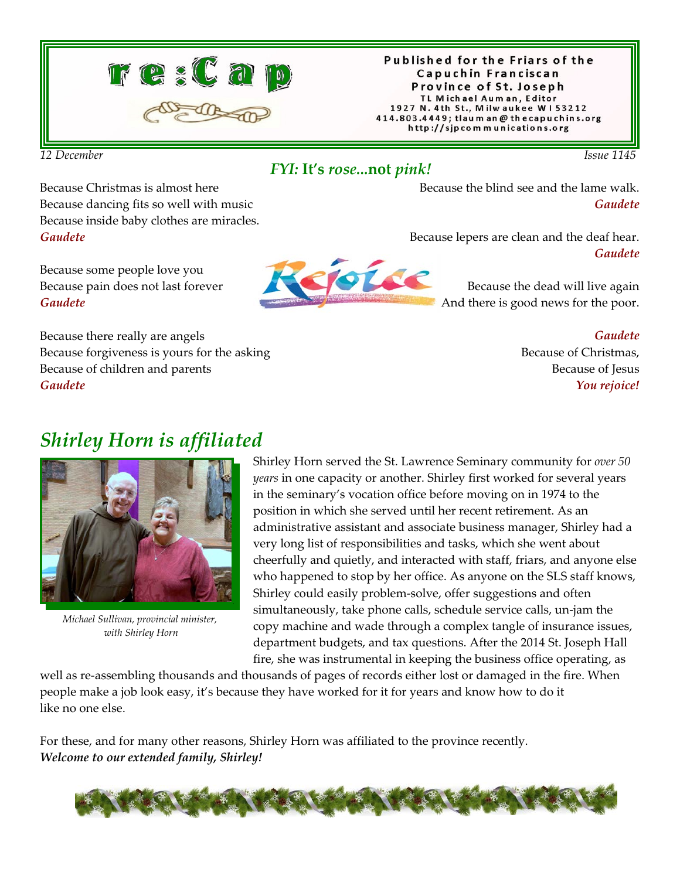

#### Published for the Friars of the Capuchin Franciscan Province of St. Joseph TL Michael Auman, Editor 1927 N. 4th St., Milwaukee W153212 414.803.4449; tlaum an@thecapuchins.org http://sjpcommunications.org

*12 December Issue 1145* 

#### *FYI:* **It's** *rose...***not** *pink!*

Because Christmas is almost here Because dancing fits so well with music Because inside baby clothes are miracles. *Gaudete*

Because some people love you Because pain does not last forever *Gaudete*

Because there really are angels Because forgiveness is yours for the asking Because of children and parents *Gaudete*



Because the blind see and the lame walk. *Gaudete*

Because lepers are clean and the deaf hear. *Gaudete*

> Because the dead will live again And there is good news for the poor.

> > *Gaudete* Because of Christmas, Because of Jesus *You rejoice!*

# *Shirley Horn is affiliated*



*Michael Sullivan, provincial minister, with Shirley Horn*

Shirley Horn served the St. Lawrence Seminary community for *over 50 years* in one capacity or another. Shirley first worked for several years in the seminary's vocation office before moving on in 1974 to the position in which she served until her recent retirement. As an administrative assistant and associate business manager, Shirley had a very long list of responsibilities and tasks, which she went about cheerfully and quietly, and interacted with staff, friars, and anyone else who happened to stop by her office. As anyone on the SLS staff knows, Shirley could easily problem-solve, offer suggestions and often simultaneously, take phone calls, schedule service calls, un-jam the copy machine and wade through a complex tangle of insurance issues, department budgets, and tax questions. After the 2014 St. Joseph Hall fire, she was instrumental in keeping the business office operating, as

well as re-assembling thousands and thousands of pages of records either lost or damaged in the fire. When people make a job look easy, it's because they have worked for it for years and know how to do it like no one else.

For these, and for many other reasons, Shirley Horn was affiliated to the province recently. *Welcome to our extended family, Shirley!*

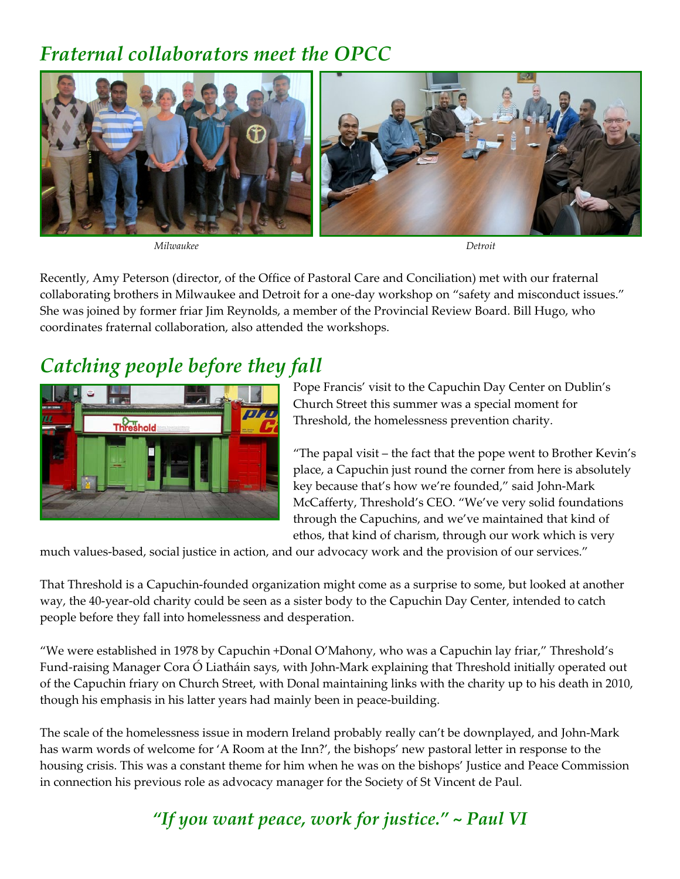# *Fraternal collaborators meet the OPCC*



*Milwaukee Detroit*

Recently, Amy Peterson (director, of the Office of Pastoral Care and Conciliation) met with our fraternal collaborating brothers in Milwaukee and Detroit for a one-day workshop on "safety and misconduct issues." She was joined by former friar Jim Reynolds, a member of the Provincial Review Board. Bill Hugo, who coordinates fraternal collaboration, also attended the workshops.

# *Catching people before they fall*



Pope Francis' visit to the Capuchin Day Center on Dublin's Church Street this summer was a special moment for Threshold, the homelessness prevention charity.

"The papal visit – the fact that the pope went to Brother Kevin's place, a Capuchin just round the corner from here is absolutely key because that's how we're founded," said John-Mark McCafferty, Threshold's CEO. "We've very solid foundations through the Capuchins, and we've maintained that kind of ethos, that kind of charism, through our work which is very

much values-based, social justice in action, and our advocacy work and the provision of our services."

That Threshold is a Capuchin-founded organization might come as a surprise to some, but looked at another way, the 40-year-old charity could be seen as a sister body to the Capuchin Day Center, intended to catch people before they fall into homelessness and desperation.

"We were established in 1978 by Capuchin +Donal O'Mahony, who was a Capuchin lay friar," Threshold's Fund-raising Manager Cora Ó Liatháin says, with John-Mark explaining that Threshold initially operated out of the Capuchin friary on Church Street, with Donal maintaining links with the charity up to his death in 2010, though his emphasis in his latter years had mainly been in peace-building.

The scale of the homelessness issue in modern Ireland probably really can't be downplayed, and John-Mark has warm words of welcome for 'A Room at the Inn?', the bishops' new pastoral letter in response to the housing crisis. This was a constant theme for him when he was on the bishops' Justice and Peace Commission in connection his previous role as advocacy manager for the Society of St Vincent de Paul.

*"If you want peace, work for justice." ~ Paul VI*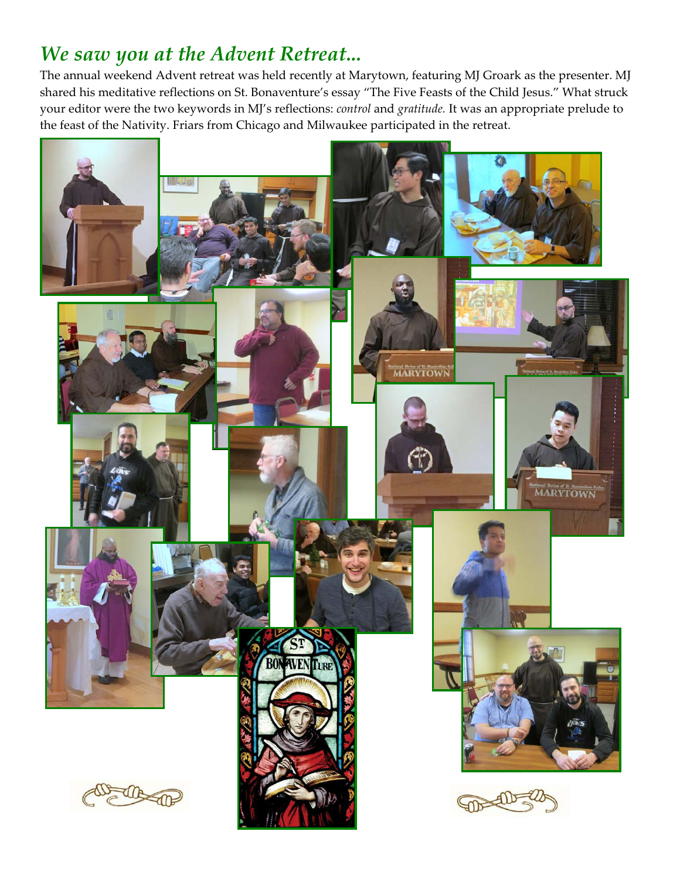# *We saw you at the Advent Retreat...*

The annual weekend Advent retreat was held recently at Marytown, featuring MJ Groark as the presenter. MJ shared his meditative reflections on St. Bonaventure's essay "The Five Feasts of the Child Jesus." What struck your editor were the two keywords in MJ's reflections: *control* and *gratitude.* It was an appropriate prelude to the feast of the Nativity. Friars from Chicago and Milwaukee participated in the retreat.